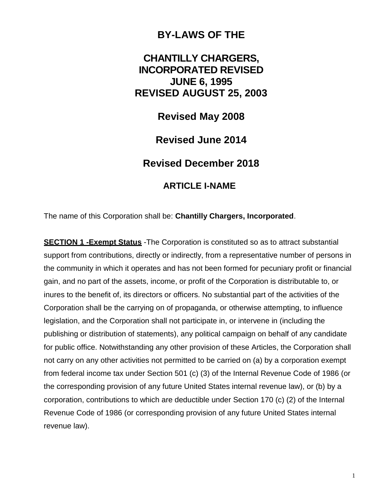## **BY-LAWS OF THE**

# **CHANTILLY CHARGERS, INCORPORATED REVISED JUNE 6, 1995 REVISED AUGUST 25, 2003**

**Revised May 2008**

**Revised June 2014**

**Revised December 2018**

## **ARTICLE I-NAME**

The name of this Corporation shall be: **Chantilly Chargers, Incorporated**.

**SECTION 1 -Exempt Status** -The Corporation is constituted so as to attract substantial support from contributions, directly or indirectly, from a representative number of persons in the community in which it operates and has not been formed for pecuniary profit or financial gain, and no part of the assets, income, or profit of the Corporation is distributable to, or inures to the benefit of, its directors or officers. No substantial part of the activities of the Corporation shall be the carrying on of propaganda, or otherwise attempting, to influence legislation, and the Corporation shall not participate in, or intervene in (including the publishing or distribution of statements), any political campaign on behalf of any candidate for public office. Notwithstanding any other provision of these Articles, the Corporation shall not carry on any other activities not permitted to be carried on (a) by a corporation exempt from federal income tax under Section 501 (c) (3) of the Internal Revenue Code of 1986 (or the corresponding provision of any future United States internal revenue law), or (b) by a corporation, contributions to which are deductible under Section 170 (c) (2) of the Internal Revenue Code of 1986 (or corresponding provision of any future United States internal revenue law).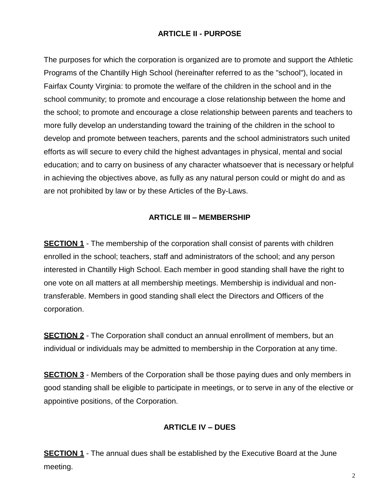#### **ARTICLE II - PURPOSE**

The purposes for which the corporation is organized are to promote and support the Athletic Programs of the Chantilly High School (hereinafter referred to as the "school"), located in Fairfax County Virginia: to promote the welfare of the children in the school and in the school community; to promote and encourage a close relationship between the home and the school; to promote and encourage a close relationship between parents and teachers to more fully develop an understanding toward the training of the children in the school to develop and promote between teachers, parents and the school administrators such united efforts as will secure to every child the highest advantages in physical, mental and social education; and to carry on business of any character whatsoever that is necessary or helpful in achieving the objectives above, as fully as any natural person could or might do and as are not prohibited by law or by these Articles of the By-Laws.

#### **ARTICLE III – MEMBERSHIP**

**SECTION 1** - The membership of the corporation shall consist of parents with children enrolled in the school; teachers, staff and administrators of the school; and any person interested in Chantilly High School. Each member in good standing shall have the right to one vote on all matters at all membership meetings. Membership is individual and nontransferable. Members in good standing shall elect the Directors and Officers of the corporation.

**SECTION 2** - The Corporation shall conduct an annual enrollment of members, but an individual or individuals may be admitted to membership in the Corporation at any time.

**SECTION 3** - Members of the Corporation shall be those paying dues and only members in good standing shall be eligible to participate in meetings, or to serve in any of the elective or appointive positions, of the Corporation.

### **ARTICLE IV – DUES**

**SECTION 1** - The annual dues shall be established by the Executive Board at the June meeting.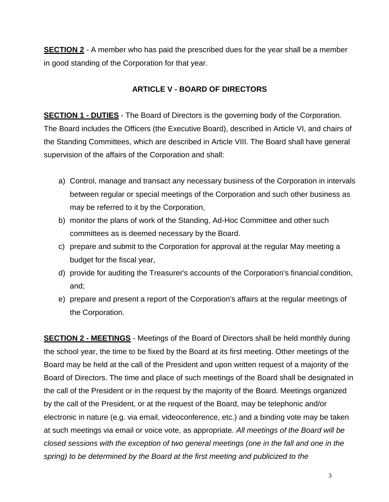**SECTION 2** - A member who has paid the prescribed dues for the year shall be a member in good standing of the Corporation for that year.

#### **ARTICLE V - BOARD OF DIRECTORS**

**SECTION 1 - DUTIES** - The Board of Directors is the governing body of the Corporation. The Board includes the Officers (the Executive Board), described in Article VI, and chairs of the Standing Committees, which are described in Article VIII. The Board shall have general supervision of the affairs of the Corporation and shall:

- a) Control, manage and transact any necessary business of the Corporation in intervals between regular or special meetings of the Corporation and such other business as may be referred to it by the Corporation,
- b) monitor the plans of work of the Standing, Ad-Hoc Committee and other such committees as is deemed necessary by the Board.
- c) prepare and submit to the Corporation for approval at the regular May meeting a budget for the fiscal year,
- d) provide for auditing the Treasurer's accounts of the Corporation's financial condition, and;
- e) prepare and present a report of the Corporation's affairs at the regular meetings of the Corporation.

**SECTION 2 - MEETINGS** - Meetings of the Board of Directors shall be held monthly during the school year, the time to be fixed by the Board at its first meeting. Other meetings of the Board may be held at the call of the President and upon written request of a majority of the Board of Directors. The time and place of such meetings of the Board shall be designated in the call of the President or in the request by the majority of the Board. Meetings organized by the call of the President, or at the request of the Board, may be telephonic and/or electronic in nature (e.g. via email, videoconference, etc.) and a binding vote may be taken at such meetings via email or voice vote, as appropriate. *All meetings of the Board will be closed sessions with the exception of two general meetings (one in the fall and one in the spring) to be determined by the Board at the first meeting and publicized to the*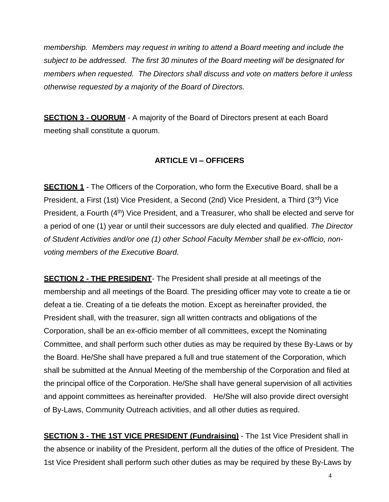*membership. Members may request in writing to attend a Board meeting and include the subject to be addressed. The first 30 minutes of the Board meeting will be designated for members when requested. The Directors shall discuss and vote on matters before it unless otherwise requested by a majority of the Board of Directors.*

**SECTION 3 - QUORUM** - A majority of the Board of Directors present at each Board meeting shall constitute a quorum.

#### **ARTICLE VI – OFFICERS**

**SECTION 1** - The Officers of the Corporation, who form the Executive Board, shall be a President, a First (1st) Vice President, a Second (2nd) Vice President, a Third (3rd) Vice President, a Fourth (4<sup>th</sup>) Vice President, and a Treasurer, who shall be elected and serve for a period of one (1) year or until their successors are duly elected and qualified. *The Director of Student Activities and/or one (1) other School Faculty Member shall be ex-officio, nonvoting members of the Executive Board.*

**SECTION 2 - THE PRESIDENT**- The President shall preside at all meetings of the membership and all meetings of the Board. The presiding officer may vote to create a tie or defeat a tie. Creating of a tie defeats the motion. Except as hereinafter provided, the President shall, with the treasurer, sign all written contracts and obligations of the Corporation, shall be an ex-officio member of all committees, except the Nominating Committee, and shall perform such other duties as may be required by these By-Laws or by the Board. He/She shall have prepared a full and true statement of the Corporation, which shall be submitted at the Annual Meeting of the membership of the Corporation and filed at the principal office of the Corporation. He/She shall have general supervision of all activities and appoint committees as hereinafter provided. He/She will also provide direct oversight of By-Laws, Community Outreach activities, and all other duties as required.

**SECTION 3 - THE 1ST VICE PRESIDENT (Fundraising)** - The 1st Vice President shall in the absence or inability of the President, perform all the duties of the office of President. The 1st Vice President shall perform such other duties as may be required by these By-Laws by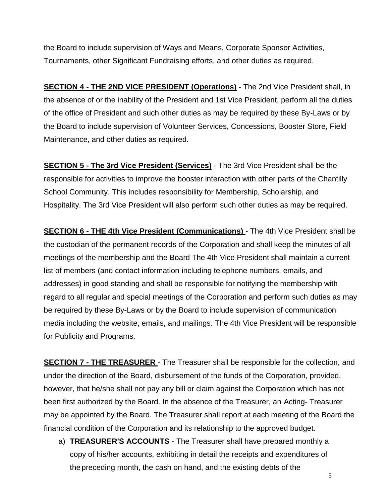the Board to include supervision of Ways and Means, Corporate Sponsor Activities, Tournaments, other Significant Fundraising efforts, and other duties as required.

**SECTION 4 - THE 2ND VICE PRESIDENT (Operations)** - The 2nd Vice President shall, in the absence of or the inability of the President and 1st Vice President, perform all the duties of the office of President and such other duties as may be required by these By-Laws or by the Board to include supervision of Volunteer Services, Concessions, Booster Store, Field Maintenance, and other duties as required.

**SECTION 5 - The 3rd Vice President (Services)** - The 3rd Vice President shall be the responsible for activities to improve the booster interaction with other parts of the Chantilly School Community. This includes responsibility for Membership, Scholarship, and Hospitality. The 3rd Vice President will also perform such other duties as may be required.

**SECTION 6 - THE 4th Vice President (Communications)** - The 4th Vice President shall be the custodian of the permanent records of the Corporation and shall keep the minutes of all meetings of the membership and the Board The 4th Vice President shall maintain a current list of members (and contact information including telephone numbers, emails, and addresses) in good standing and shall be responsible for notifying the membership with regard to all regular and special meetings of the Corporation and perform such duties as may be required by these By-Laws or by the Board to include supervision of communication media including the website, emails, and mailings. The 4th Vice President will be responsible for Publicity and Programs.

**SECTION 7 - THE TREASURER** - The Treasurer shall be responsible for the collection, and under the direction of the Board, disbursement of the funds of the Corporation, provided, however, that he/she shall not pay any bill or claim against the Corporation which has not been first authorized by the Board. In the absence of the Treasurer, an Acting- Treasurer may be appointed by the Board. The Treasurer shall report at each meeting of the Board the financial condition of the Corporation and its relationship to the approved budget.

a) **TREASURER'S ACCOUNTS** - The Treasurer shall have prepared monthly a copy of his/her accounts, exhibiting in detail the receipts and expenditures of the preceding month, the cash on hand, and the existing debts of the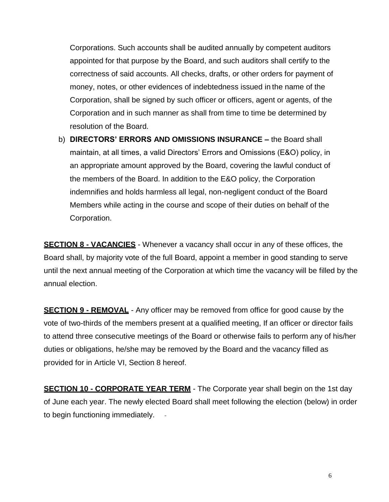Corporations. Such accounts shall be audited annually by competent auditors appointed for that purpose by the Board, and such auditors shall certify to the correctness of said accounts. All checks, drafts, or other orders for payment of money, notes, or other evidences of indebtedness issued in the name of the Corporation, shall be signed by such officer or officers, agent or agents, of the Corporation and in such manner as shall from time to time be determined by resolution of the Board.

b) **DIRECTORS' ERRORS AND OMISSIONS INSURANCE –** the Board shall maintain, at all times, a valid Directors' Errors and Omissions (E&O) policy, in an appropriate amount approved by the Board, covering the lawful conduct of the members of the Board. In addition to the E&O policy, the Corporation indemnifies and holds harmless all legal, non-negligent conduct of the Board Members while acting in the course and scope of their duties on behalf of the Corporation.

**SECTION 8 - VACANCIES** - Whenever a vacancy shall occur in any of these offices, the Board shall, by majority vote of the full Board, appoint a member in good standing to serve until the next annual meeting of the Corporation at which time the vacancy will be filled by the annual election.

**SECTION 9 - REMOVAL** - Any officer may be removed from office for good cause by the vote of two-thirds of the members present at a qualified meeting, If an officer or director fails to attend three consecutive meetings of the Board or otherwise fails to perform any of his/her duties or obligations, he/she may be removed by the Board and the vacancy filled as provided for in Article VI, Section 8 hereof.

**SECTION 10 - CORPORATE YEAR TERM** - The Corporate year shall begin on the 1st day of June each year. The newly elected Board shall meet following the election (below) in order to begin functioning immediately.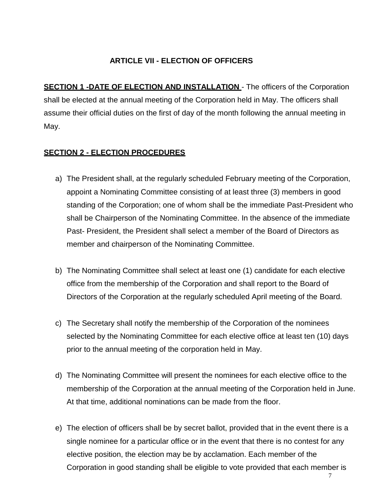#### **ARTICLE VII - ELECTION OF OFFICERS**

**SECTION 1 -DATE OF ELECTION AND INSTALLATION -** The officers of the Corporation shall be elected at the annual meeting of the Corporation held in May. The officers shall assume their official duties on the first of day of the month following the annual meeting in May.

#### **SECTION 2 - ELECTION PROCEDURES**

- a) The President shall, at the regularly scheduled February meeting of the Corporation, appoint a Nominating Committee consisting of at least three (3) members in good standing of the Corporation; one of whom shall be the immediate Past-President who shall be Chairperson of the Nominating Committee. In the absence of the immediate Past- President, the President shall select a member of the Board of Directors as member and chairperson of the Nominating Committee.
- b) The Nominating Committee shall select at least one (1) candidate for each elective office from the membership of the Corporation and shall report to the Board of Directors of the Corporation at the regularly scheduled April meeting of the Board.
- c) The Secretary shall notify the membership of the Corporation of the nominees selected by the Nominating Committee for each elective office at least ten (10) days prior to the annual meeting of the corporation held in May.
- d) The Nominating Committee will present the nominees for each elective office to the membership of the Corporation at the annual meeting of the Corporation held in June. At that time, additional nominations can be made from the floor.
- e) The election of officers shall be by secret ballot, provided that in the event there is a single nominee for a particular office or in the event that there is no contest for any elective position, the election may be by acclamation. Each member of the Corporation in good standing shall be eligible to vote provided that each member is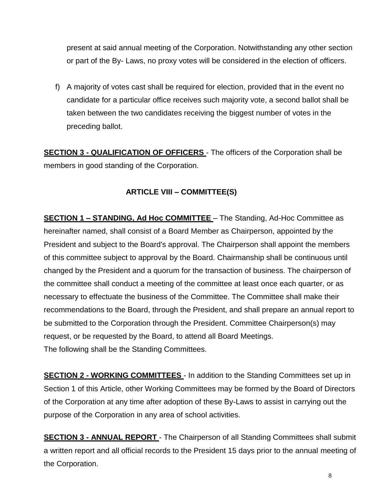present at said annual meeting of the Corporation. Notwithstanding any other section or part of the By- Laws, no proxy votes will be considered in the election of officers.

f) A majority of votes cast shall be required for election, provided that in the event no candidate for a particular office receives such majority vote, a second ballot shall be taken between the two candidates receiving the biggest number of votes in the preceding ballot.

**SECTION 3 - QUALIFICATION OF OFFICERS** - The officers of the Corporation shall be members in good standing of the Corporation.

#### **ARTICLE VIII – COMMITTEE(S)**

**SECTION 1 – STANDING, Ad Hoc COMMITTEE** – The Standing, Ad-Hoc Committee as hereinafter named, shall consist of a Board Member as Chairperson, appointed by the President and subject to the Board's approval. The Chairperson shall appoint the members of this committee subject to approval by the Board. Chairmanship shall be continuous until changed by the President and a quorum for the transaction of business. The chairperson of the committee shall conduct a meeting of the committee at least once each quarter, or as necessary to effectuate the business of the Committee. The Committee shall make their recommendations to the Board, through the President, and shall prepare an annual report to be submitted to the Corporation through the President. Committee Chairperson(s) may request, or be requested by the Board, to attend all Board Meetings. The following shall be the Standing Committees.

**SECTION 2 - WORKING COMMITTEES** - In addition to the Standing Committees set up in Section 1 of this Article, other Working Committees may be formed by the Board of Directors of the Corporation at any time after adoption of these By-Laws to assist in carrying out the purpose of the Corporation in any area of school activities.

**SECTION 3 - ANNUAL REPORT** - The Chairperson of all Standing Committees shall submit a written report and all official records to the President 15 days prior to the annual meeting of the Corporation.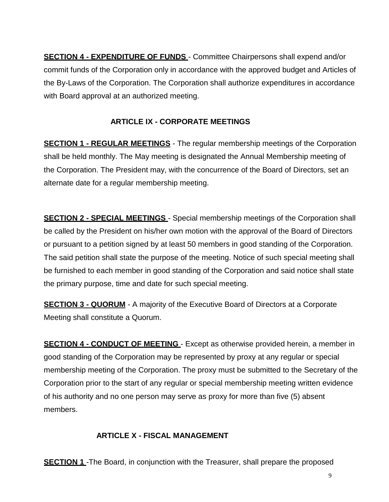**SECTION 4 - EXPENDITURE OF FUNDS** - Committee Chairpersons shall expend and/or commit funds of the Corporation only in accordance with the approved budget and Articles of the By-Laws of the Corporation. The Corporation shall authorize expenditures in accordance with Board approval at an authorized meeting.

## **ARTICLE IX - CORPORATE MEETINGS**

**SECTION 1 - REGULAR MEETINGS** - The regular membership meetings of the Corporation shall be held monthly. The May meeting is designated the Annual Membership meeting of the Corporation. The President may, with the concurrence of the Board of Directors, set an alternate date for a regular membership meeting.

**SECTION 2 - SPECIAL MEETINGS** - Special membership meetings of the Corporation shall be called by the President on his/her own motion with the approval of the Board of Directors or pursuant to a petition signed by at least 50 members in good standing of the Corporation. The said petition shall state the purpose of the meeting. Notice of such special meeting shall be furnished to each member in good standing of the Corporation and said notice shall state the primary purpose, time and date for such special meeting.

**SECTION 3 - QUORUM** - A majority of the Executive Board of Directors at a Corporate Meeting shall constitute a Quorum.

**SECTION 4 - CONDUCT OF MEETING** - Except as otherwise provided herein, a member in good standing of the Corporation may be represented by proxy at any regular or special membership meeting of the Corporation. The proxy must be submitted to the Secretary of the Corporation prior to the start of any regular or special membership meeting written evidence of his authority and no one person may serve as proxy for more than five (5) absent members.

### **ARTICLE X - FISCAL MANAGEMENT**

**SECTION 1** -The Board, in conjunction with the Treasurer, shall prepare the proposed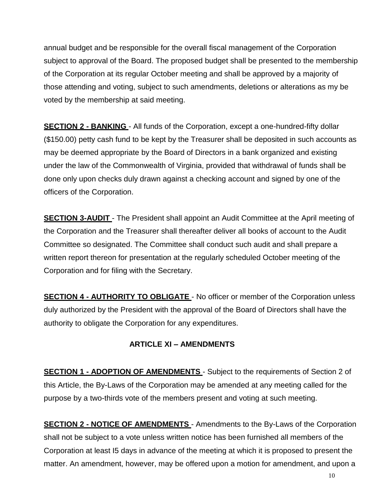annual budget and be responsible for the overall fiscal management of the Corporation subject to approval of the Board. The proposed budget shall be presented to the membership of the Corporation at its regular October meeting and shall be approved by a majority of those attending and voting, subject to such amendments, deletions or alterations as my be voted by the membership at said meeting.

**SECTION 2 - BANKING** - All funds of the Corporation, except a one-hundred-fifty dollar (\$150.00) petty cash fund to be kept by the Treasurer shall be deposited in such accounts as may be deemed appropriate by the Board of Directors in a bank organized and existing under the law of the Commonwealth of Virginia, provided that withdrawal of funds shall be done only upon checks duly drawn against a checking account and signed by one of the officers of the Corporation.

**SECTION 3-AUDIT** - The President shall appoint an Audit Committee at the April meeting of the Corporation and the Treasurer shall thereafter deliver all books of account to the Audit Committee so designated. The Committee shall conduct such audit and shall prepare a written report thereon for presentation at the regularly scheduled October meeting of the Corporation and for filing with the Secretary.

**SECTION 4 - AUTHORITY TO OBLIGATE** - No officer or member of the Corporation unless duly authorized by the President with the approval of the Board of Directors shall have the authority to obligate the Corporation for any expenditures.

#### **ARTICLE XI – AMENDMENTS**

**SECTION 1 - ADOPTION OF AMENDMENTS** - Subject to the requirements of Section 2 of this Article, the By-Laws of the Corporation may be amended at any meeting called for the purpose by a two-thirds vote of the members present and voting at such meeting.

**SECTION 2 - NOTICE OF AMENDMENTS** - Amendments to the By-Laws of the Corporation shall not be subject to a vote unless written notice has been furnished all members of the Corporation at least I5 days in advance of the meeting at which it is proposed to present the matter. An amendment, however, may be offered upon a motion for amendment, and upon a